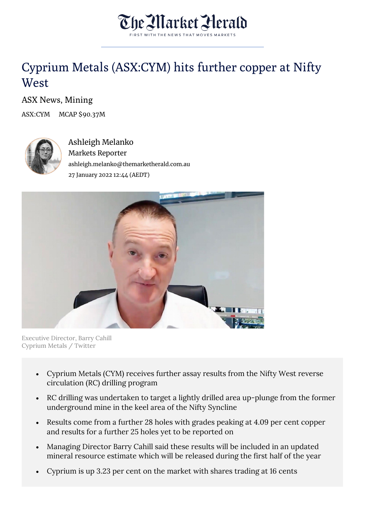

## Cyprium Metals (ASX:CYM) hits further copper at Nifty **West**

ASX News, Mining

ASX:CYM MCAP \$90.37M



Ashleigh Melanko Markets Reporter ashleigh.melanko@themarketherald.com.au 27 January 2022 12:44 (AEDT)



Executive Director, Barry Cahill Cyprium Metals / Twitter

- Cyprium Metals (CYM) receives further assay results from the Nifty West reverse circulation (RC) drilling program
- RC drilling was undertaken to target a lightly drilled area up-plunge from the former underground mine in the keel area of the Nifty Syncline
- Results come from a further 28 holes with grades peaking at 4.09 per cent copper and results for a further 25 holes yet to be reported on
- Managing Director Barry Cahill said these results will be included in an updated mineral resource estimate which will be released during the first half of the year
- Cyprium is up 3.23 per cent on the market with shares trading at 16 cents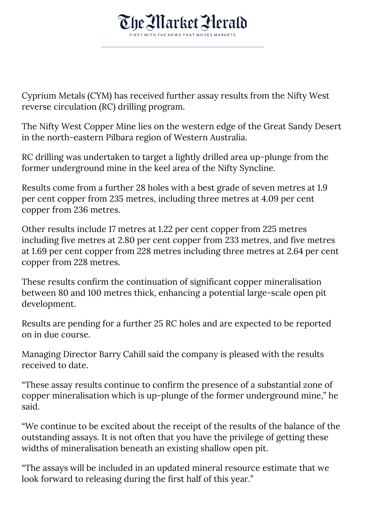

Cyprium Metals (CYM) has received further assay results from the Nifty West reverse circulation (RC) drilling program.

The Nifty West Copper Mine lies on the western edge of the Great Sandy Desert in the north-eastern Pilbara region of Western Australia.

RC drilling was undertaken to target a lightly drilled area up-plunge from the former underground mine in the keel area of the Nifty Syncline.

Results come from a further 28 holes with a best grade of seven metres at 1.9 per cent copper from 235 metres, including three metres at 4.09 per cent copper from 236 metres.

Other results include 17 metres at 1.22 per cent copper from 225 metres including five metres at 2.80 per cent copper from 233 metres, and five metres at 1.69 per cent copper from 228 metres including three metres at 2.64 per cent copper from 228 metres.

These results confirm the continuation of significant copper mineralisation between 80 and 100 metres thick, enhancing a potential large-scale open pit development.

Results are pending for a further 25 RC holes and are expected to be reported on in due course.

Managing Director Barry Cahill said the company is pleased with the results received to date.

"These assay results continue to confirm the presence of a substantial zone of copper mineralisation which is up-plunge of the former underground mine," he said.

"We continue to be excited about the receipt of the results of the balance of the outstanding assays. It is not often that you have the privilege of getting these widths of mineralisation beneath an existing shallow open pit.

"The assays will be included in an updated mineral resource estimate that we look forward to releasing during the first half of this year."